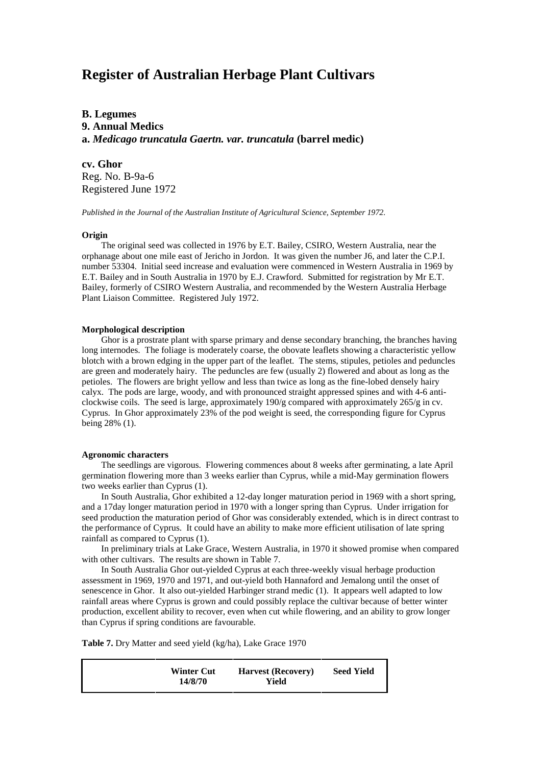# **Register of Australian Herbage Plant Cultivars**

**B. Legumes 9. Annual Medics a.** *Medicago truncatula Gaertn. var. truncatula* **(barrel medic)**

**cv. Ghor**

Reg. No. B-9a-6 Registered June 1972

*Published in the Journal of the Australian Institute of Agricultural Science, September 1972.*

### **Origin**

The original seed was collected in 1976 by E.T. Bailey, CSIRO, Western Australia, near the orphanage about one mile east of Jericho in Jordon. It was given the number J6, and later the C.P.I. number 53304. Initial seed increase and evaluation were commenced in Western Australia in 1969 by E.T. Bailey and in South Australia in 1970 by E.J. Crawford. Submitted for registration by Mr E.T. Bailey, formerly of CSIRO Western Australia, and recommended by the Western Australia Herbage Plant Liaison Committee. Registered July 1972.

#### **Morphological description**

Ghor is a prostrate plant with sparse primary and dense secondary branching, the branches having long internodes. The foliage is moderately coarse, the obovate leaflets showing a characteristic yellow blotch with a brown edging in the upper part of the leaflet. The stems, stipules, petioles and peduncles are green and moderately hairy. The peduncles are few (usually 2) flowered and about as long as the petioles. The flowers are bright yellow and less than twice as long as the fine-lobed densely hairy calyx. The pods are large, woody, and with pronounced straight appressed spines and with 4-6 anticlockwise coils. The seed is large, approximately 190/g compared with approximately 265/g in cv. Cyprus. In Ghor approximately 23% of the pod weight is seed, the corresponding figure for Cyprus being 28% (1).

#### **Agronomic characters**

The seedlings are vigorous. Flowering commences about 8 weeks after germinating, a late April germination flowering more than 3 weeks earlier than Cyprus, while a mid-May germination flowers two weeks earlier than Cyprus (1).

In South Australia, Ghor exhibited a 12-day longer maturation period in 1969 with a short spring, and a 17day longer maturation period in 1970 with a longer spring than Cyprus. Under irrigation for seed production the maturation period of Ghor was considerably extended, which is in direct contrast to the performance of Cyprus. It could have an ability to make more efficient utilisation of late spring rainfall as compared to Cyprus (1).

In preliminary trials at Lake Grace, Western Australia, in 1970 it showed promise when compared with other cultivars. The results are shown in Table 7.

In South Australia Ghor out-yielded Cyprus at each three-weekly visual herbage production assessment in 1969, 1970 and 1971, and out-yield both Hannaford and Jemalong until the onset of senescence in Ghor. It also out-yielded Harbinger strand medic (1). It appears well adapted to low rainfall areas where Cyprus is grown and could possibly replace the cultivar because of better winter production, excellent ability to recover, even when cut while flowering, and an ability to grow longer than Cyprus if spring conditions are favourable.

**Table 7.** Dry Matter and seed yield (kg/ha), Lake Grace 1970

| <b>Seed Yield</b><br><b>Harvest</b> (Recovery) |
|------------------------------------------------|
|                                                |